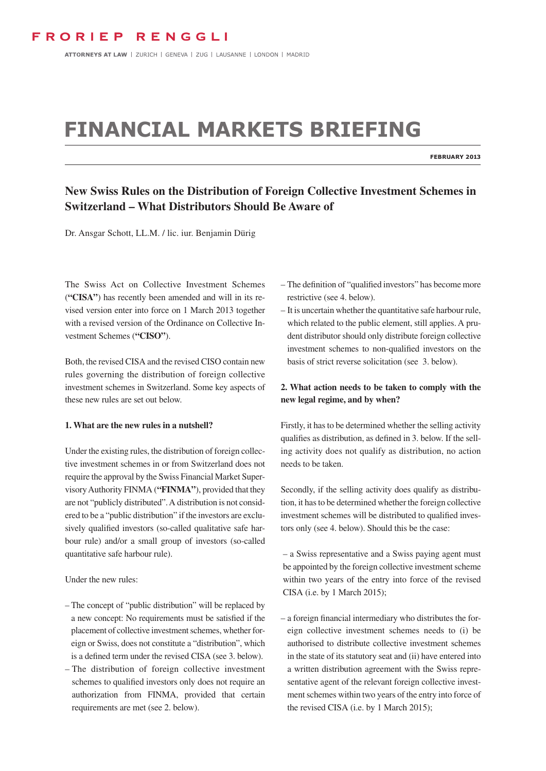ATTORNEYS AT LAW | ZURICH | GENEVA | ZUG | LAUSANNE | LONDON | MADRID

# **Financial markets Briefing**

**February 2013**

# **New Swiss Rules on the Distribution of Foreign Collective Investment Schemes in Switzerland – What Distributors Should Be Aware of**

Dr. Ansgar Schott, LL.M. / lic. iur. Benjamin Dürig

The Swiss Act on Collective Investment Schemes (**"CISA"**) has recently been amended and will in its revised version enter into force on 1 March 2013 together with a revised version of the Ordinance on Collective Investment Schemes (**"CISO"**).

Both, the revised CISA and the revised CISO contain new rules governing the distribution of foreign collective investment schemes in Switzerland. Some key aspects of these new rules are set out below.

# **1. What are the new rules in a nutshell?**

Under the existing rules, the distribution of foreign collective investment schemes in or from Switzerland does not require the approval by the Swiss Financial Market Supervisory Authority FINMA (**"FINMA"**), provided that they are not "publicly distributed". A distribution is not considered to be a "public distribution" if the investors are exclusively qualified investors (so-called qualitative safe harbour rule) and/or a small group of investors (so-called quantitative safe harbour rule).

# Under the new rules:

- The concept of "public distribution" will be replaced by a new concept: No requirements must be satisfied if the placement of collective investment schemes, whether foreign or Swiss, does not constitute a "distribution", which is a defined term under the revised CISA (see 3. below).
- The distribution of foreign collective investment schemes to qualified investors only does not require an authorization from FINMA, provided that certain requirements are met (see 2. below).
- The definition of "qualified investors" has become more restrictive (see 4. below).
- It is uncertain whether the quantitative safe harbour rule, which related to the public element, still applies. A prudent distributor should only distribute foreign collective investment schemes to non-qualified investors on the basis of strict reverse solicitation (see 3. below).

# **2. What action needs to be taken to comply with the new legal regime, and by when?**

Firstly, it has to be determined whether the selling activity qualifies as distribution, as defined in 3. below. If the selling activity does not qualify as distribution, no action needs to be taken.

Secondly, if the selling activity does qualify as distribution, it has to be determined whether the foreign collective investment schemes will be distributed to qualified investors only (see 4. below). Should this be the case:

– a Swiss representative and a Swiss paying agent must be appointed by the foreign collective investment scheme within two years of the entry into force of the revised CISA (i.e. by 1 March 2015);

– a foreign financial intermediary who distributes the foreign collective investment schemes needs to (i) be authorised to distribute collective investment schemes in the state of its statutory seat and (ii) have entered into a written distribution agreement with the Swiss representative agent of the relevant foreign collective investment schemes within two years of the entry into force of the revised CISA (i.e. by 1 March 2015);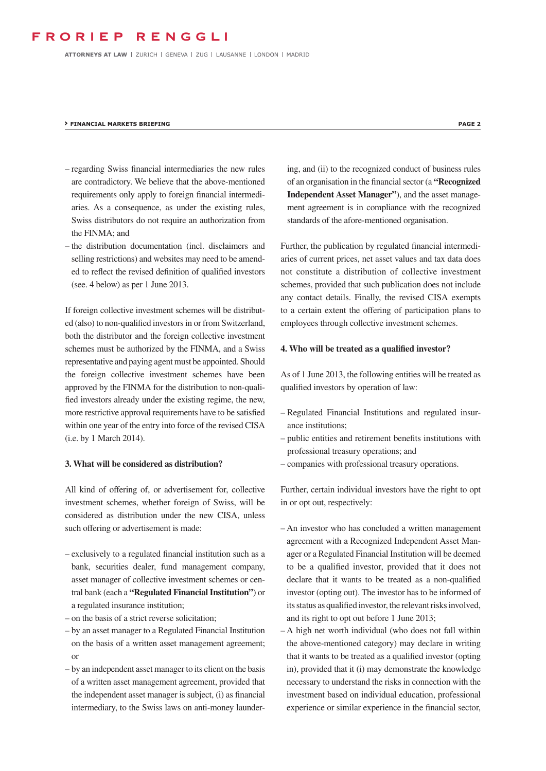ATTORNEYS AT LAW | ZURICH | GENEVA | ZUG | LAUSANNE | LONDON | MADRID

#### **› FINANCIAL MARKETS BRIEFING PAGE 2**

- regarding Swiss financial intermediaries the new rules are contradictory. We believe that the above-mentioned requirements only apply to foreign financial intermediaries. As a consequence, as under the existing rules, Swiss distributors do not require an authorization from the FINMA; and
- the distribution documentation (incl. disclaimers and selling restrictions) and websites may need to be amended to reflect the revised definition of qualified investors (see. 4 below) as per 1 June 2013.

If foreign collective investment schemes will be distributed (also) to non-qualified investors in or from Switzerland, both the distributor and the foreign collective investment schemes must be authorized by the FINMA, and a Swiss representative and paying agent must be appointed. Should the foreign collective investment schemes have been approved by the FINMA for the distribution to non-qualified investors already under the existing regime, the new, more restrictive approval requirements have to be satisfied within one year of the entry into force of the revised CISA (i.e. by 1 March 2014).

## **3. What will be considered as distribution?**

All kind of offering of, or advertisement for, collective investment schemes, whether foreign of Swiss, will be considered as distribution under the new CISA, unless such offering or advertisement is made:

- exclusively to a regulated financial institution such as a bank, securities dealer, fund management company, asset manager of collective investment schemes or central bank (each a **"Regulated Financial Institution"**) or a regulated insurance institution;
- on the basis of a strict reverse solicitation;
- by an asset manager to a Regulated Financial Institution on the basis of a written asset management agreement; or
- by an independent asset manager to its client on the basis of a written asset management agreement, provided that the independent asset manager is subject, (i) as financial intermediary, to the Swiss laws on anti-money launder-

ing, and (ii) to the recognized conduct of business rules of an organisation in the financial sector (a **"Recognized Independent Asset Manager"**), and the asset management agreement is in compliance with the recognized standards of the afore-mentioned organisation.

Further, the publication by regulated financial intermediaries of current prices, net asset values and tax data does not constitute a distribution of collective investment schemes, provided that such publication does not include any contact details. Finally, the revised CISA exempts to a certain extent the offering of participation plans to employees through collective investment schemes.

## **4. Who will be treated as a qualified investor?**

As of 1 June 2013, the following entities will be treated as qualified investors by operation of law:

- Regulated Financial Institutions and regulated insurance institutions;
- public entities and retirement benefits institutions with professional treasury operations; and
- companies with professional treasury operations.

Further, certain individual investors have the right to opt in or opt out, respectively:

- An investor who has concluded a written management agreement with a Recognized Independent Asset Manager or a Regulated Financial Institution will be deemed to be a qualified investor, provided that it does not declare that it wants to be treated as a non-qualified investor (opting out). The investor has to be informed of its status as qualified investor, the relevant risks involved, and its right to opt out before 1 June 2013;
- A high net worth individual (who does not fall within the above-mentioned category) may declare in writing that it wants to be treated as a qualified investor (opting in), provided that it (i) may demonstrate the knowledge necessary to understand the risks in connection with the investment based on individual education, professional experience or similar experience in the financial sector,